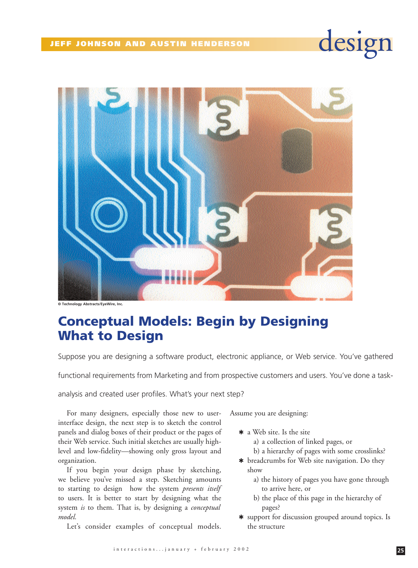

**© Technology Abstracts/EyeWire, Inc.**

# **Conceptual Models: Begin by Designing What to Design**

Suppose you are designing a software product, electronic appliance, or Web service. You've gathered

functional requirements from Marketing and from prospective customers and users. You've done a task-

analysis and created user profiles. What's your next step?

For many designers, especially those new to userinterface design, the next step is to sketch the control panels and dialog boxes of their product or the pages of their Web service. Such initial sketches are usually highlevel and low-fidelity—showing only gross layout and organization.

If you begin your design phase by sketching, we believe you've missed a step. Sketching amounts to starting to design how the system *presents itself* to users. It is better to start by designing what the system *is* to them. That is, by designing a *conceptual model.*

Let's consider examples of conceptual models.

Assume you are designing:

- ✱ a Web site. Is the site
	- a) a collection of linked pages, or
	- b) a hierarchy of pages with some crosslinks?
- ✱ breadcrumbs for Web site navigation. Do they show
	- a) the history of pages you have gone through to arrive here, or
	- b) the place of this page in the hierarchy of pages?
- ✱ support for discussion grouped around topics. Is the structure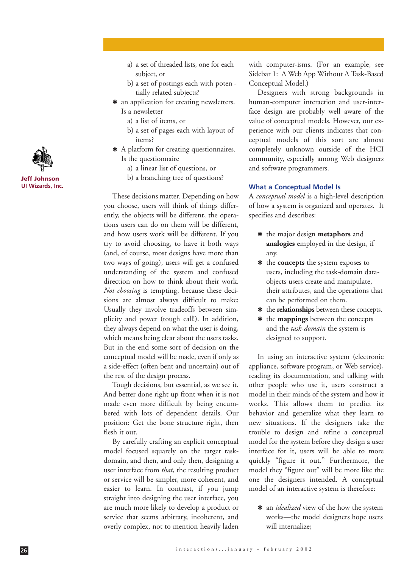

- a) a set of threaded lists, one for each subject, or
- b) a set of postings each with poten tially related subjects?
- ✱ an application for creating newsletters. Is a newsletter
	- a) a list of items, or
	- b) a set of pages each with layout of items?
- ✱ A platform for creating questionnaires. Is the questionnaire
	- a) a linear list of questions, or
	- b) a branching tree of questions?

These decisions matter. Depending on how you choose, users will think of things differently, the objects will be different, the operations users can do on them will be different, and how users work will be different. If you try to avoid choosing, to have it both ways (and, of course, most designs have more than two ways of going), users will get a confused understanding of the system and confused direction on how to think about their work. *Not choosing* is tempting, because these decisions are almost always difficult to make: Usually they involve tradeoffs between simplicity and power (tough call!). In addition, they always depend on what the user is doing, which means being clear about the users tasks. But in the end some sort of decision on the conceptual model will be made, even if only as a side-effect (often bent and uncertain) out of the rest of the design process.

Tough decisions, but essential, as we see it. And better done right up front when it is not made even more difficult by being encumbered with lots of dependent details. Our position: Get the bone structure right, then flesh it out.

By carefully crafting an explicit conceptual model focused squarely on the target taskdomain, and then, and only then, designing a user interface from *that*, the resulting product or service will be simpler, more coherent, and easier to learn. In contrast, if you jump straight into designing the user interface, you are much more likely to develop a product or service that seems arbitrary, incoherent, and overly complex, not to mention heavily laden

with computer-isms. (For an example, see Sidebar 1: A Web App Without A Task-Based Conceptual Model.)

Designers with strong backgrounds in human-computer interaction and user-interface design are probably well aware of the value of conceptual models. However, our experience with our clients indicates that conceptual models of this sort are almost completely unknown outside of the HCI community, especially among Web designers and software programmers.

## **What a Conceptual Model Is**

A *conceptual model* is a high-level description of how a system is organized and operates. It specifies and describes:

- ✱ the major design **metaphors** and **analogies** employed in the design, if any.
- ✱ the **concepts** the system exposes to users, including the task-domain dataobjects users create and manipulate, their attributes, and the operations that can be performed on them.
- ✱ the **relationships** between these concepts.
- ✱ the **mappings** between the concepts and the *task-domain* the system is designed to support.

In using an interactive system (electronic appliance, software program, or Web service), reading its documentation, and talking with other people who use it, users construct a model in their minds of the system and how it works. This allows them to predict its behavior and generalize what they learn to new situations. If the designers take the trouble to design and refine a conceptual model for the system before they design a user interface for it, users will be able to more quickly "figure it out." Furthermore, the model they "figure out" will be more like the one the designers intended. A conceptual model of an interactive system is therefore:

✱ an *idealized* view of the how the system works—the model designers hope users will internalize;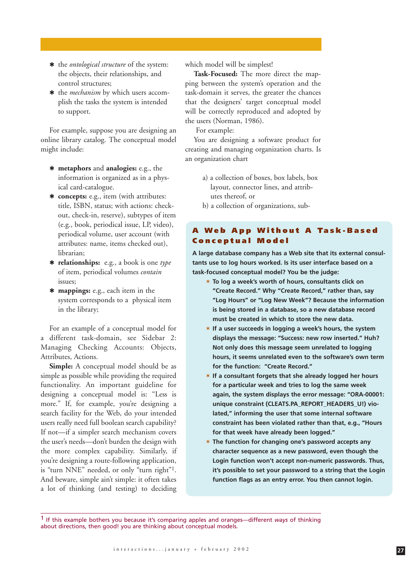- ✱ the *ontological structure* of the system: the objects, their relationships, and control structures;
- ✱ the *mechanism* by which users accomplish the tasks the system is intended to support.

For example, suppose you are designing an online library catalog. The conceptual model might include:

- ✱ **metaphors** and **analogies:** e.g., the information is organized as in a physical card-catalogue.
- ✱ **concepts:** e.g., item (with attributes: title, ISBN, status; with actions: checkout, check-in, reserve), subtypes of item (e.g., book, periodical issue, LP, video), periodical volume, user account (with attributes: name, items checked out), librarian;
- ✱ **relationships:** e.g., a book is one *type* of item, periodical volumes *contain* issues;
- ✱ **mappings:** e.g., each item in the system corresponds to a physical item in the library;

For an example of a conceptual model for a different task-domain, see Sidebar 2: Managing Checking Accounts: Objects, Attributes, Actions.

**Simple:** A conceptual model should be as simple as possible while providing the required functionality. An important guideline for designing a conceptual model is: "Less is more." If, for example, you're designing a search facility for the Web, do your intended users really need full boolean search capability? If not—if a simpler search mechanism covers the user's needs—don't burden the design with the more complex capability. Similarly, if you're designing a route-following application, is "turn NNE" needed, or only "turn right"1. And beware, simple ain't simple: it often takes a lot of thinking (and testing) to deciding

which model will be simplest!

**Task-Focused:** The more direct the mapping between the system's operation and the task-domain it serves, the greater the chances that the designers' target conceptual model will be correctly reproduced and adopted by the users (Norman, 1986).

For example:

You are designing a software product for creating and managing organization charts. Is an organization chart

- a) a collection of boxes, box labels, box layout, connector lines, and attributes thereof, or
- b) a collection of organizations, sub-

# **A Web App W ithout A Task -Based Conceptual Model**

**A large database company has a Web site that its external consultants use to log hours worked. Is its user interface based on a task-focused conceptual model? You be the judge:**

- ✶ **To log a week's worth of hours, consultants click on "Create Record." Why "Create Record," rather than, say "Log Hours" or "Log New Week"? Because the information is being stored in a database, so a new database record must be created in which to store the new data.**
- ✶ **If a user succeeds in logging a week's hours, the system displays the message: "Success: new row inserted." Huh? Not only does this message seem unrelated to logging hours, it seems unrelated even to the software's own term for the function: "Create Record."**
- ✶ **If a consultant forgets that she already logged her hours for a particular week and tries to log the same week again, the system displays the error message: "ORA-00001: unique constraint (CLEATS.PA\_REPORT\_HEADERS\_U!) violated," informing the user that some internal software constraint has been violated rather than that, e.g., "Hours for that week have already been logged."**
- ✶ **The function for changing one's password accepts any character sequence as a new password, even though the Login function won't accept non-numeric passwords. Thus, it's possible to set your password to a string that the Login function flags as an entry error. You then cannot login.**

1 If this example bothers you because it's comparing apples and oranges—different *ways* of thinking about directions, then good! you are thinking about conceptual models.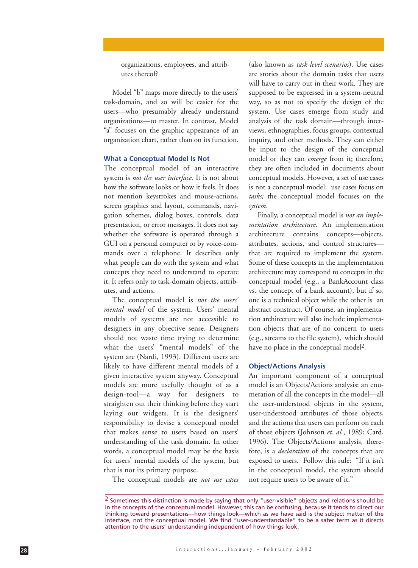organizations, employees, and attributes thereof?

Model "b" maps more directly to the users' task-domain, and so will be easier for the users—who presumably already understand organizations—to master. In contrast, Model "a" focuses on the graphic appearance of an organization chart, rather than on its function.

## **What a Conceptual Model Is Not**

The conceptual model of an interactive system is *not the user interface.* It is not about how the software looks or how it feels. It does not mention keystrokes and mouse-actions, screen graphics and layout, commands, navigation schemes, dialog boxes, controls, data presentation, or error messages. It does not say whether the software is operated through a GUI on a personal computer or by voice-commands over a telephone. It describes only what people can do with the system and what concepts they need to understand to operate it. It refers only to task-domain objects, attributes, and actions.

The conceptual model is *not the users' mental model* of the system. Users' mental models of systems are not accessible to designers in any objective sense. Designers should not waste time trying to determine what the users' "mental models" of the system are (Nardi, 1993). Different users are likely to have different mental models of a given interactive system anyway. Conceptual models are more usefully thought of as a design-tool—a way for designers to straighten out their thinking before they start laying out widgets. It is the designers' responsibility to devise a conceptual model that makes sense to users based on users' understanding of the task domain. In other words, a conceptual model may be the basis for users' mental models of the system, but that is not its primary purpose.

The conceptual models are *not use cases*

(also known as *task-level scenarios*). Use cases are stories about the domain tasks that users will have to carry out in their work. They are supposed to be expressed in a system-neutral way, so as not to specify the design of the system. Use cases emerge from study and analysis of the task domain—through interviews, ethnographies, focus groups, contextual inquiry, and other methods. They can either be input to the design of the conceptual model or they can *emerge* from it; therefore, they are often included in documents about conceptual models. However, a set of use cases is not a conceptual model: use cases focus on *tasks;* the conceptual model focuses on the *system*.

Finally, a conceptual model is *not an implementation architecture*. An implementation architecture contains concepts—objects, attributes, actions, and control structures that are required to implement the system. Some of these concepts in the implementation architecture may correspond to concepts in the conceptual model (e.g., a BankAccount class vs. the concept of a bank account), but if so, one is a technical object while the other is an abstract construct. Of course, an implementation architecture will also include implementation objects that are of no concern to users (e.g., streams to the file system), which should have no place in the conceptual model<sup>2</sup>.

## **Object/Actions Analysis**

An important component of a conceptual model is an Objects/Actions analysis: an enumeration of all the concepts in the model—all the user-understood objects in the system, user-understood attributes of those objects, and the actions that users can perform on each of those objects (Johnson *et. al.*, 1989; Card, 1996). The Objects/Actions analysis, therefore, is a *declaration* of the concepts that are exposed to users. Follow this rule: "If it isn't in the conceptual model, the system should not require users to be aware of it."

<sup>2</sup> Sometimes this distinction is made by saying that only "user-visible" objects and relations should be in the concepts of the conceptual model. However, this can be confusing, because it tends to direct our thinking toward presentations—how things look—which as we have said is the subject matter of the interface, not the conceptual model. We find "user-understandable" to be a safer term as it directs attention to the users' understanding independent of how things look.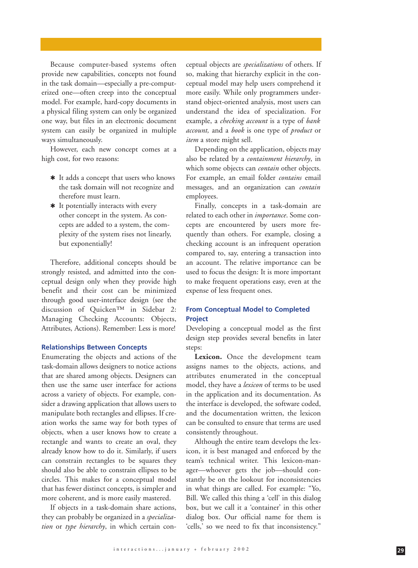Because computer-based systems often provide new capabilities, concepts not found in the task domain—especially a pre-computerized one—often creep into the conceptual model. For example, hard-copy documents in a physical filing system can only be organized one way, but files in an electronic document system can easily be organized in multiple ways simultaneously.

However, each new concept comes at a high cost, for two reasons:

- ✱ It adds a concept that users who knows the task domain will not recognize and therefore must learn.
- ✱ It potentially interacts with every other concept in the system. As concepts are added to a system, the complexity of the system rises not linearly, but exponentially!

Therefore, additional concepts should be strongly resisted, and admitted into the conceptual design only when they provide high benefit and their cost can be minimized through good user-interface design (see the discussion of Quicken™ in Sidebar 2: Managing Checking Accounts: Objects, Attributes, Actions). Remember: Less is more!

## **Relationships Between Concepts**

Enumerating the objects and actions of the task-domain allows designers to notice actions that are shared among objects. Designers can then use the same user interface for actions across a variety of objects. For example, consider a drawing application that allows users to manipulate both rectangles and ellipses. If creation works the same way for both types of objects, when a user knows how to create a rectangle and wants to create an oval, they already know how to do it. Similarly, if users can constrain rectangles to be squares they should also be able to constrain ellipses to be circles. This makes for a conceptual model that has fewer distinct concepts, is simpler and more coherent, and is more easily mastered.

If objects in a task-domain share actions, they can probably be organized in a *specialization* or *type hierarchy*, in which certain conceptual objects are *specializations* of others. If so, making that hierarchy explicit in the conceptual model may help users comprehend it more easily. While only programmers understand object-oriented analysis, most users can understand the idea of specialization. For example, a *checking account* is a type of *bank account,* and a *book* is one type of *product* or *item* a store might sell.

Depending on the application, objects may also be related by a *containment hierarchy*, in which some objects can *contain* other objects. For example, an email folder *contains* email messages, and an organization can *contain* employees.

Finally, concepts in a task-domain are related to each other in *importance*. Some concepts are encountered by users more frequently than others. For example, closing a checking account is an infrequent operation compared to, say, entering a transaction into an account. The relative importance can be used to focus the design: It is more important to make frequent operations easy, even at the expense of less frequent ones.

## **From Conceptual Model to Completed Project**

Developing a conceptual model as the first design step provides several benefits in later steps:

Lexicon. Once the development team assigns names to the objects, actions, and attributes enumerated in the conceptual model, they have a *lexicon* of terms to be used in the application and its documentation. As the interface is developed, the software coded, and the documentation written, the lexicon can be consulted to ensure that terms are used consistently throughout.

Although the entire team develops the lexicon, it is best managed and enforced by the team's technical writer. This lexicon-manager—whoever gets the job—should constantly be on the lookout for inconsistencies in what things are called. For example: "Yo, Bill. We called this thing a 'cell' in this dialog box, but we call it a 'container' in this other dialog box. Our official name for them is 'cells,' so we need to fix that inconsistency."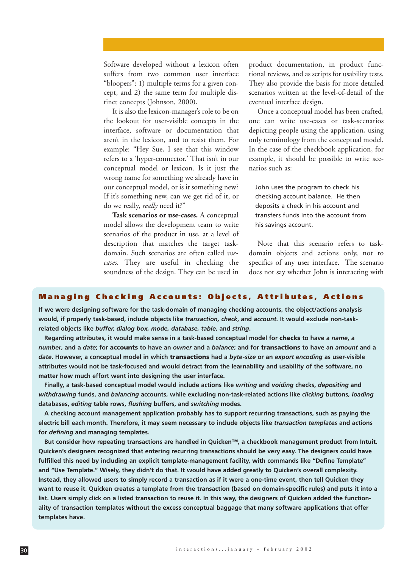Software developed without a lexicon often suffers from two common user interface "bloopers": 1) multiple terms for a given concept, and 2) the same term for multiple distinct concepts (Johnson, 2000).

It is also the lexicon-manager's role to be on the lookout for user-visible concepts in the interface, software or documentation that aren't in the lexicon, and to resist them. For example: "Hey Sue, I see that this window refers to a 'hyper-connector.' That isn't in our conceptual model or lexicon. Is it just the wrong name for something we already have in our conceptual model, or is it something new? If it's something new, can we get rid of it, or do we really, *really* need it?"

**Task scenarios or use-cases.** A conceptual model allows the development team to write scenarios of the product in use, at a level of description that matches the target taskdomain. Such scenarios are often called u*secases.* They are useful in checking the soundness of the design. They can be used in

product documentation, in product functional reviews, and as scripts for usability tests. They also provide the basis for more detailed scenarios written at the level-of-detail of the eventual interface design.

Once a conceptual model has been crafted, one can write use-cases or task-scenarios depicting people using the application, using only terminology from the conceptual model. In the case of the checkbook application, for example, it should be possible to write scenarios such as:

John uses the program to check his checking account balance. He then deposits a check in his account and transfers funds into the account from his savings account.

Note that this scenario refers to taskdomain objects and actions only, not to specifics of any user interface. The scenario does not say whether John is interacting with

#### **Managing Checking Accounts: Objects, Attributes, Actions**

**If we were designing software for the task-domain of managing checking accounts, the object/actions analysis would, if properly task-based, include objects like** *transaction, check***, and** *account.* **It would exclude non-taskrelated objects like** *buffer, dialog box, mode, database, table,* **and** *string***.**

**Regarding attributes, it would make sense in a task-based conceptual model for checks to have a** *name***, a** *number***, and a** *date***; for accounts to have an** *owner* **and a** *balance***; and for transactions to have an** *amount* **and a** *date***. However, a conceptual model in which transactions had a** *byte-size* **or an** *export encoding* **as user-visible attributes would not be task-focused and would detract from the learnability and usability of the software, no matter how much effort went into designing the user interface.**

**Finally, a task-based conceptual model would include actions like** *writing* **and** *voiding* **checks,** *depositing* **and** *withdrawing* **funds, and** *balancing* **accounts, while excluding non-task-related actions like** *clicking* **buttons,** *loading* **databases,** *editing* **table rows,** *flushing* **buffers, and** *switching* **modes.**

**A checking account management application probably has to support recurring transactions, such as paying the electric bill each month. Therefore, it may seem necessary to include objects like** *transaction templates* **and actions for** *defining* **and managing templates.**

**But consider how repeating transactions are handled in Quicken™, a checkbook management product from Intuit. Quicken's designers recognized that entering recurring transactions should be very easy. The designers could have fulfilled this need by including an explicit template-management facility, with commands like "Define Template" and "Use Template." Wisely, they didn't do that. It would have added greatly to Quicken's overall complexity. Instead, they allowed users to simply record a transaction as if it were a one-time event, then tell Quicken they want to reuse it. Quicken creates a template from the transaction (based on domain-specific rules) and puts it into a list. Users simply click on a listed transaction to reuse it. In this way, the designers of Quicken added the functionality of transaction templates without the excess conceptual baggage that many software applications that offer templates have.**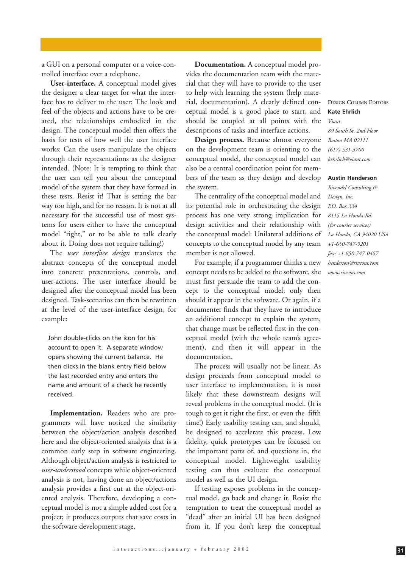a GUI on a personal computer or a voice-controlled interface over a telephone.

**User-interface.** A conceptual model gives the designer a clear target for what the interface has to deliver to the user: The look and feel of the objects and actions have to be created, the relationships embodied in the design. The conceptual model then offers the basis for tests of how well the user interface works: Can the users manipulate the objects through their representations as the designer intended. (Note: It is tempting to think that the user can tell you about the conceptual model of the system that they have formed in these tests. Resist it! That is setting the bar way too high, and for no reason. It is not at all necessary for the successful use of most systems for users either to have the conceptual model "right," or to be able to talk clearly about it. Doing does not require talking!)

The *user interface design* translates the abstract concepts of the conceptual model into concrete presentations, controls, and user-actions. The user interface should be designed after the conceptual model has been designed. Task-scenarios can then be rewritten at the level of the user-interface design, for example:

John double-clicks on the icon for his account to open it. A separate window opens showing the current balance. He then clicks in the blank entry field below the last recorded entry and enters the name and amount of a check he recently received.

**Implementation.** Readers who are programmers will have noticed the similarity between the object/action analysis described here and the object-oriented analysis that is a common early step in software engineering. Although object/action analysis is restricted to *user-understood* concepts while object-oriented analysis is not, having done an object/actions analysis provides a first cut at the object-oriented analysis. Therefore, developing a conceptual model is not a simple added cost for a project; it produces outputs that save costs in the software development stage.

**Documentation.** A conceptual model provides the documentation team with the material that they will have to provide to the user to help with learning the system (help material, documentation). A clearly defined conceptual model is a good place to start, and should be coupled at all points with the descriptions of tasks and interface actions.

**Design process.** Because almost everyone on the development team is orienting to the conceptual model, the conceptual model can also be a central coordination point for members of the team as they design and develop the system.

The centrality of the conceptual model and its potential role in orchestrating the design process has one very strong implication for design activities and their relationship with the conceptual model: Unilateral additions of concepts to the conceptual model by any team member is not allowed.

For example, if a programmer thinks a new concept needs to be added to the software, she must first persuade the team to add the concept to the conceptual model; only then should it appear in the software. Or again, if a documenter finds that they have to introduce an additional concept to explain the system, that change must be reflected first in the conceptual model (with the whole team's agreement), and then it will appear in the documentation.

The process will usually not be linear. As design proceeds from conceptual model to user interface to implementation, it is most likely that these downstream designs will reveal problems in the conceptual model. (It is tough to get it right the first, or even the fifth time!) Early usability testing can, and should, be designed to accelerate this process. Low fidelity, quick prototypes can be focused on the important parts of, and questions in, the conceptual model. Lightweight usability testing can thus evaluate the conceptual model as well as the UI design.

If testing exposes problems in the conceptual model, go back and change it. Resist the temptation to treat the conceptual model as "dead" after an initial UI has been designed from it. If you don't keep the conceptual

**DESIGN COLUMN EDITORS Kate Ehrlich** *Viant 89 South St, 2nd Floor Boston MA 02111*

*(617) 531-3700 kehrlich@viant.com*

## **Austin Henderson**

*Rivendel Consulting & Design, Inc. P.O. Box 334 8115 La Honda Rd. (for courier services) La Honda, CA 94020 USA +1-650-747-9201 fax: +1-650-747-0467 henderson@rivcons.com www.rivcons.com*